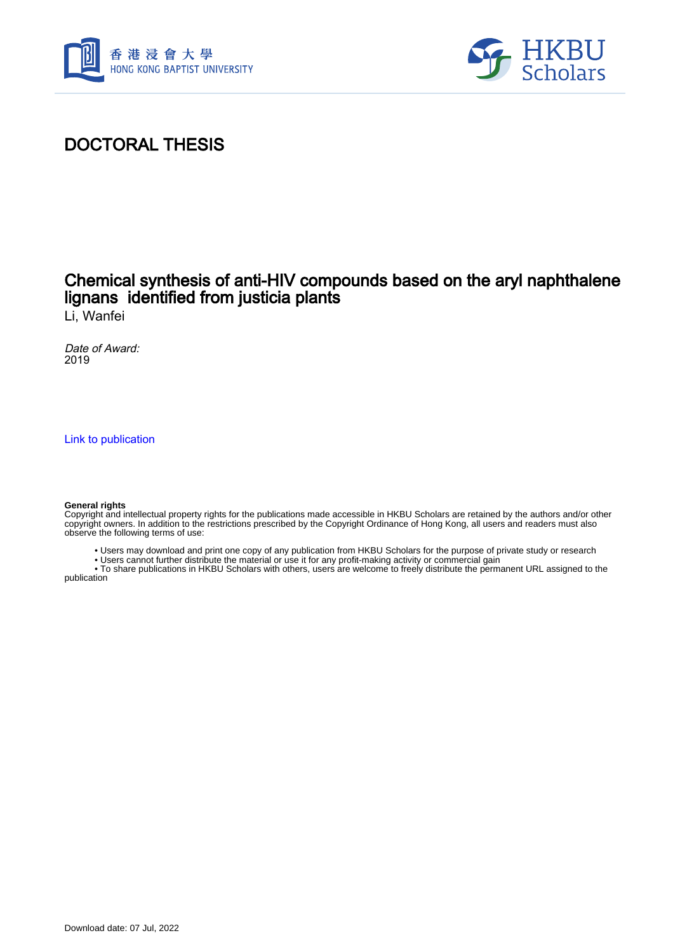



# DOCTORAL THESIS

## Chemical synthesis of anti-HIV compounds based on the aryl naphthalene lignans identified from justicia plants

Li, Wanfei

Date of Award: 2019

[Link to publication](https://scholars.hkbu.edu.hk/en/studentTheses/5268f40a-4b01-4624-bd72-ccfedb60f52e)

#### **General rights**

Copyright and intellectual property rights for the publications made accessible in HKBU Scholars are retained by the authors and/or other copyright owners. In addition to the restrictions prescribed by the Copyright Ordinance of Hong Kong, all users and readers must also observe the following terms of use:

- Users may download and print one copy of any publication from HKBU Scholars for the purpose of private study or research
- Users cannot further distribute the material or use it for any profit-making activity or commercial gain

 • To share publications in HKBU Scholars with others, users are welcome to freely distribute the permanent URL assigned to the publication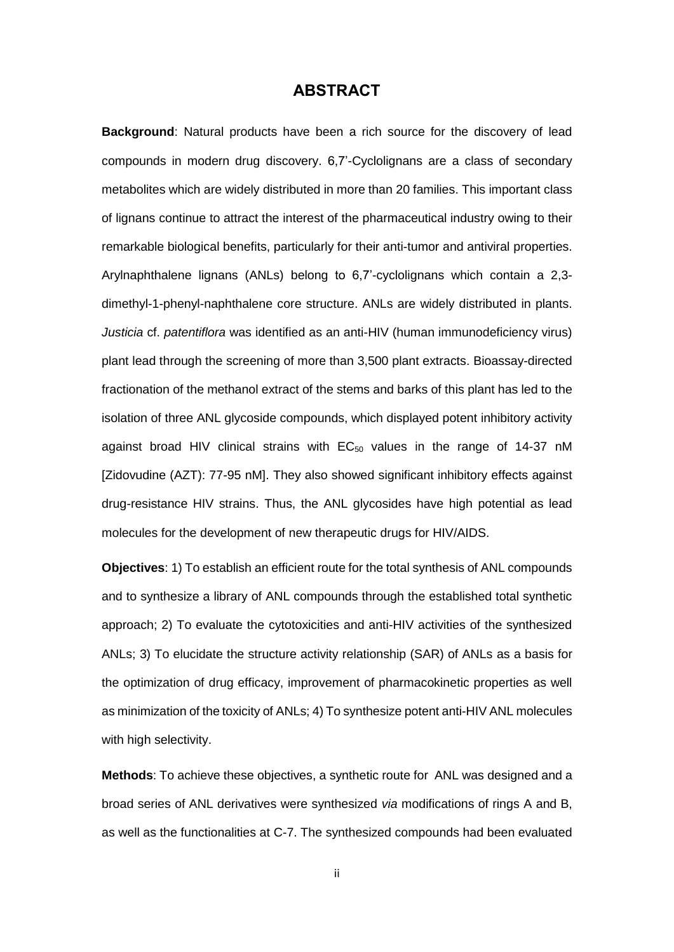### **ABSTRACT**

<span id="page-1-0"></span>**Background**: Natural products have been a rich source for the discovery of lead compounds in modern drug discovery. 6,7'-Cyclolignans are a class of secondary metabolites which are widely distributed in more than 20 families. This important class of lignans continue to attract the interest of the pharmaceutical industry owing to their remarkable biological benefits, particularly for their anti-tumor and antiviral properties. Arylnaphthalene lignans (ANLs) belong to 6,7'-cyclolignans which contain a 2,3 dimethyl-1-phenyl-naphthalene core structure. ANLs are widely distributed in plants. *Justicia* cf. *patentiflora* was identified as an anti-HIV (human immunodeficiency virus) plant lead through the screening of more than 3,500 plant extracts. Bioassay-directed fractionation of the methanol extract of the stems and barks of this plant has led to the isolation of three ANL glycoside compounds, which displayed potent inhibitory activity against broad HIV clinical strains with  $EC_{50}$  values in the range of 14-37 nM [Zidovudine (AZT): 77-95 nM]. They also showed significant inhibitory effects against drug-resistance HIV strains. Thus, the ANL glycosides have high potential as lead molecules for the development of new therapeutic drugs for HIV/AIDS.

**Objectives**: 1) To establish an efficient route for the total synthesis of ANL compounds and to synthesize a library of ANL compounds through the established total synthetic approach; 2) To evaluate the cytotoxicities and anti-HIV activities of the synthesized ANLs; 3) To elucidate the structure activity relationship (SAR) of ANLs as a basis for the optimization of drug efficacy, improvement of pharmacokinetic properties as well as minimization of the toxicity of ANLs; 4) To synthesize potent anti-HIV ANL molecules with high selectivity.

**Methods**: To achieve these objectives, a synthetic route for ANL was designed and a broad series of ANL derivatives were synthesized *via* modifications of rings A and B, as well as the functionalities at C-7. The synthesized compounds had been evaluated

ii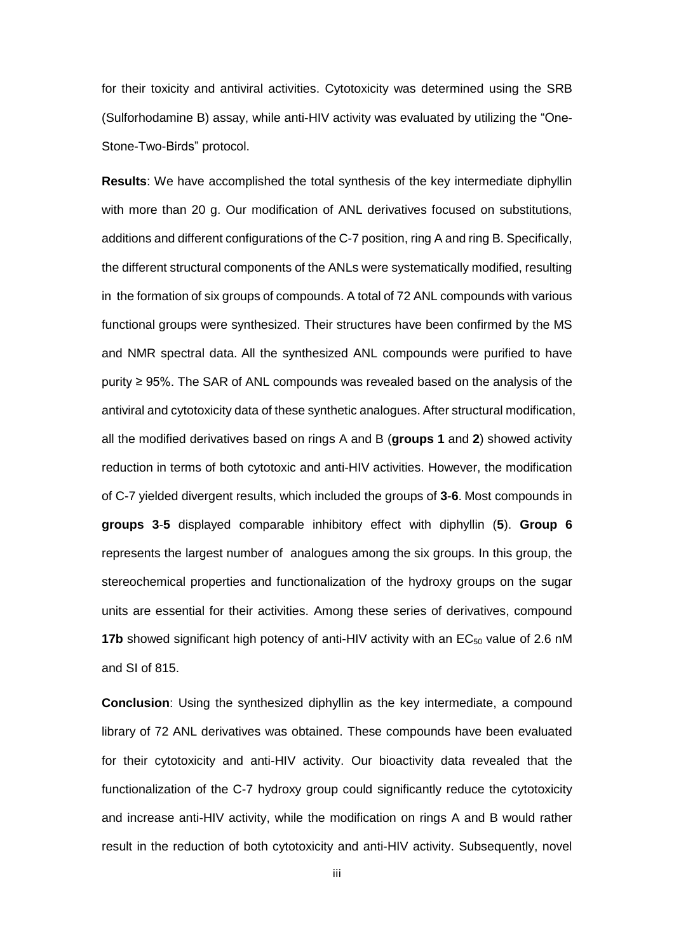for their toxicity and antiviral activities. Cytotoxicity was determined using the SRB (Sulforhodamine B) assay, while anti-HIV activity was evaluated by utilizing the "One-Stone-Two-Birds" protocol.

**Results**: We have accomplished the total synthesis of the key intermediate diphyllin with more than 20 g. Our modification of ANL derivatives focused on substitutions, additions and different configurations of the C-7 position, ring A and ring B. Specifically, the different structural components of the ANLs were systematically modified, resulting in the formation of six groups of compounds. A total of 72 ANL compounds with various functional groups were synthesized. Their structures have been confirmed by the MS and NMR spectral data. All the synthesized ANL compounds were purified to have purity ≥ 95%. The SAR of ANL compounds was revealed based on the analysis of the antiviral and cytotoxicity data of these synthetic analogues. After structural modification, all the modified derivatives based on rings A and B (**groups 1** and **2**) showed activity reduction in terms of both cytotoxic and anti-HIV activities. However, the modification of C-7 yielded divergent results, which included the groups of **3**-**6**. Most compounds in **groups 3**-**5** displayed comparable inhibitory effect with diphyllin (**5**). **Group 6** represents the largest number of analogues among the six groups. In this group, the stereochemical properties and functionalization of the hydroxy groups on the sugar units are essential for their activities. Among these series of derivatives, compound **17b** showed significant high potency of anti-HIV activity with an  $EC_{50}$  value of 2.6 nM and SI of 815.

**Conclusion**: Using the synthesized diphyllin as the key intermediate, a compound library of 72 ANL derivatives was obtained. These compounds have been evaluated for their cytotoxicity and anti-HIV activity. Our bioactivity data revealed that the functionalization of the C-7 hydroxy group could significantly reduce the cytotoxicity and increase anti-HIV activity, while the modification on rings A and B would rather result in the reduction of both cytotoxicity and anti-HIV activity. Subsequently, novel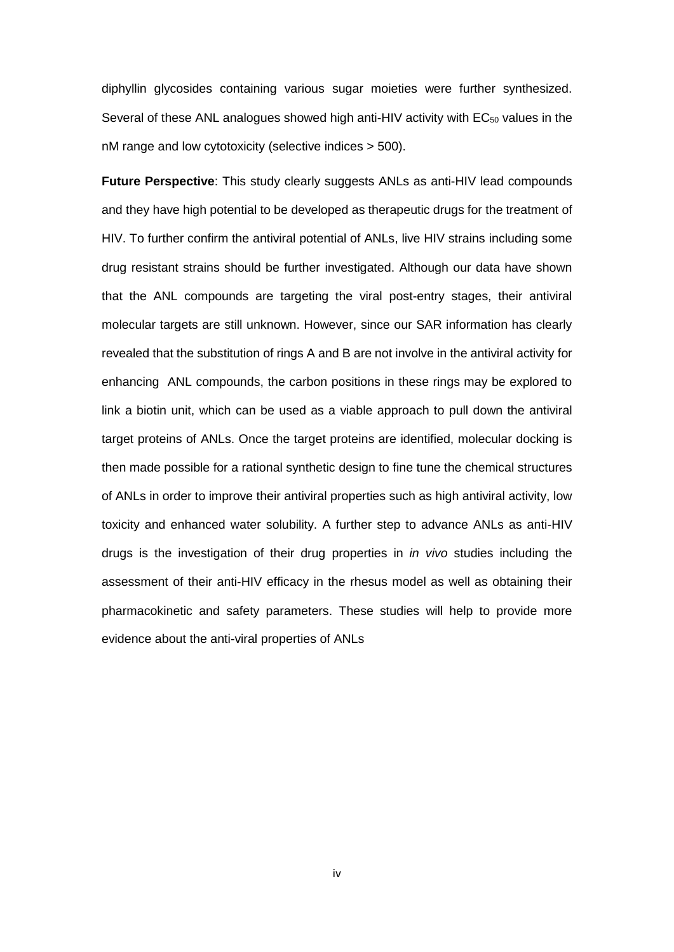diphyllin glycosides containing various sugar moieties were further synthesized. Several of these ANL analogues showed high anti-HIV activity with  $EC_{50}$  values in the nM range and low cytotoxicity (selective indices > 500).

**Future Perspective**: This study clearly suggests ANLs as anti-HIV lead compounds and they have high potential to be developed as therapeutic drugs for the treatment of HIV. To further confirm the antiviral potential of ANLs, live HIV strains including some drug resistant strains should be further investigated. Although our data have shown that the ANL compounds are targeting the viral post-entry stages, their antiviral molecular targets are still unknown. However, since our SAR information has clearly revealed that the substitution of rings A and B are not involve in the antiviral activity for enhancing ANL compounds, the carbon positions in these rings may be explored to link a biotin unit, which can be used as a viable approach to pull down the antiviral target proteins of ANLs. Once the target proteins are identified, molecular docking is then made possible for a rational synthetic design to fine tune the chemical structures of ANLs in order to improve their antiviral properties such as high antiviral activity, low toxicity and enhanced water solubility. A further step to advance ANLs as anti-HIV drugs is the investigation of their drug properties in *in vivo* studies including the assessment of their anti-HIV efficacy in the rhesus model as well as obtaining their pharmacokinetic and safety parameters. These studies will help to provide more evidence about the anti-viral properties of ANLs

iv